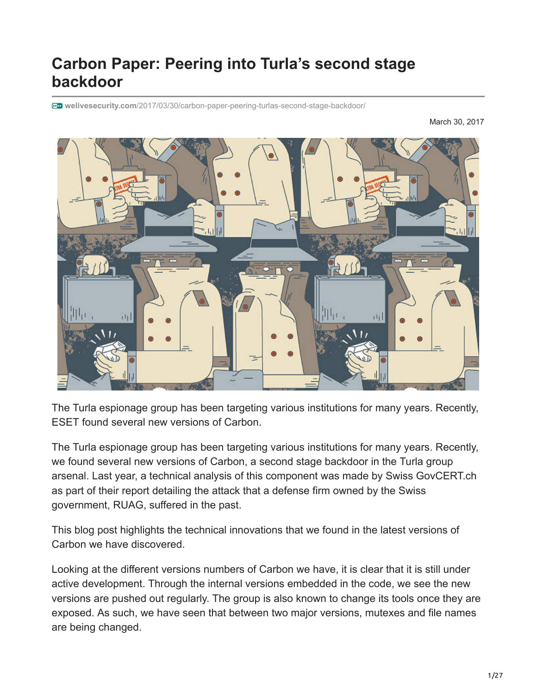# **Carbon Paper: Peering into Turla's second stage backdoor**

**welivesecurity.com**[/2017/03/30/carbon-paper-peering-turlas-second-stage-backdoor/](https://www.welivesecurity.com/2017/03/30/carbon-paper-peering-turlas-second-stage-backdoor/)

March 30, 2017



The Turla espionage group has been targeting various institutions for many years. Recently, ESET found several new versions of Carbon.

The Turla espionage group has been targeting various institutions for many years. Recently, we found several new versions of Carbon, a second stage backdoor in the Turla group arsenal. Last year, a technical analysis of this component was made by Swiss GovCERT.ch as part of their report detailing the attack that a defense firm owned by the Swiss government, RUAG, suffered in the past.

This blog post highlights the technical innovations that we found in the latest versions of Carbon we have discovered.

Looking at the different versions numbers of Carbon we have, it is clear that it is still under active development. Through the internal versions embedded in the code, we see the new versions are pushed out regularly. The group is also known to change its tools once they are exposed. As such, we have seen that between two major versions, mutexes and file names are being changed.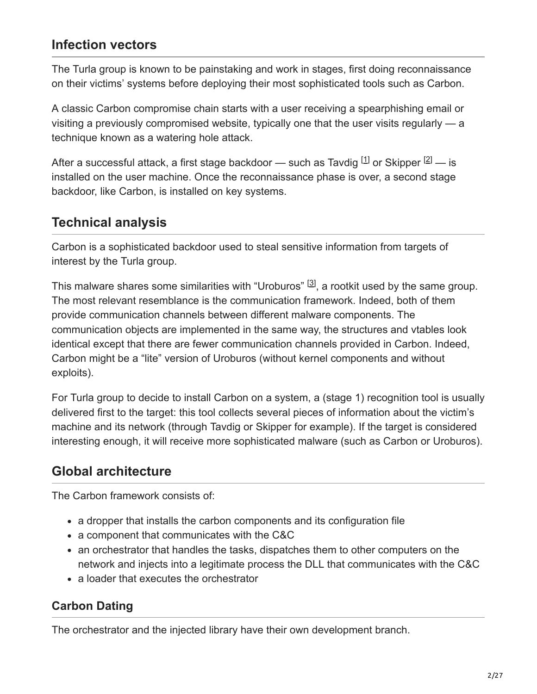### **Infection vectors**

The Turla group is known to be painstaking and work in stages, first doing reconnaissance on their victims' systems before deploying their most sophisticated tools such as Carbon.

A classic Carbon compromise chain starts with a user receiving a spearphishing email or visiting a previously compromised website, typically one that the user visits regularly — a technique known as a watering hole attack.

After a successful attack, a first stage backdoor — such as Tavdig  $^{[1]}$  or Skipper  $^{[2]}$  — is installed on the user machine. Once the reconnaissance phase is over, a second stage backdoor, like Carbon, is installed on key systems.

# **Technical analysis**

Carbon is a sophisticated backdoor used to steal sensitive information from targets of interest by the Turla group.

This malware shares some similarities with "Uroburos"  $[3]$ , a rootkit used by the same group. The most relevant resemblance is the communication framework. Indeed, both of them provide communication channels between different malware components. The communication objects are implemented in the same way, the structures and vtables look identical except that there are fewer communication channels provided in Carbon. Indeed, Carbon might be a "lite" version of Uroburos (without kernel components and without exploits).

For Turla group to decide to install Carbon on a system, a (stage 1) recognition tool is usually delivered first to the target: this tool collects several pieces of information about the victim's machine and its network (through Tavdig or Skipper for example). If the target is considered interesting enough, it will receive more sophisticated malware (such as Carbon or Uroburos).

# **Global architecture**

The Carbon framework consists of:

- a dropper that installs the carbon components and its configuration file
- a component that communicates with the C&C
- an orchestrator that handles the tasks, dispatches them to other computers on the network and injects into a legitimate process the DLL that communicates with the C&C
- a loader that executes the orchestrator

# **Carbon Dating**

The orchestrator and the injected library have their own development branch.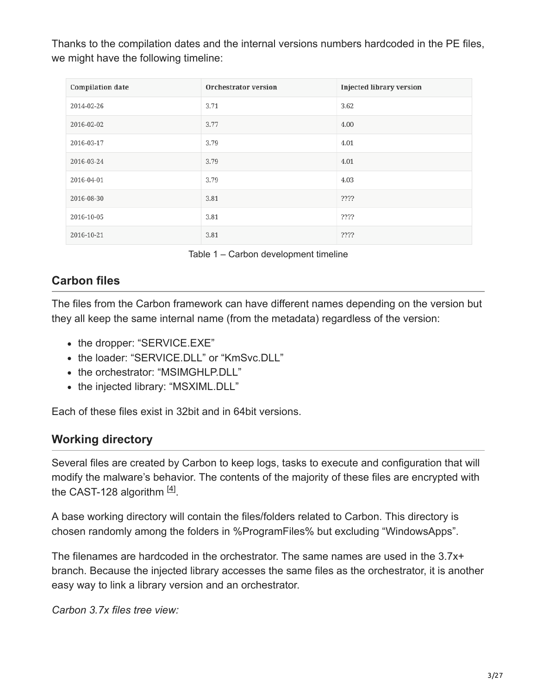Thanks to the compilation dates and the internal versions numbers hardcoded in the PE files, we might have the following timeline:

| <b>Compilation date</b> | <b>Orchestrator version</b> | <b>Injected library version</b> |
|-------------------------|-----------------------------|---------------------------------|
| 2014-02-26              | 3.71                        | 3.62                            |
| 2016-02-02              | 3.77                        | 4.00                            |
| 2016-03-17              | 3.79                        | 4.01                            |
| 2016-03-24              | 3.79                        | 4.01                            |
| 2016-04-01              | 3.79                        | 4.03                            |
| 2016-08-30              | 3.81                        | $??\,\ ?$                       |
| 2016-10-05              | 3.81                        | ????                            |
| 2016-10-21              | 3.81                        | ????                            |

Table 1 – Carbon development timeline

### **Carbon files**

The files from the Carbon framework can have different names depending on the version but they all keep the same internal name (from the metadata) regardless of the version:

- the dropper: "SERVICE.EXE"
- the loader: "SERVICE.DLL" or "KmSvc.DLL"
- the orchestrator: "MSIMGHLP.DLL"
- the injected library: "MSXIML.DLL"

Each of these files exist in 32bit and in 64bit versions.

### **Working directory**

Several files are created by Carbon to keep logs, tasks to execute and configuration that will modify the malware's behavior. The contents of the majority of these files are encrypted with the CAST-128 algorithm  $[4]$ .

A base working directory will contain the files/folders related to Carbon. This directory is chosen randomly among the folders in %ProgramFiles% but excluding "WindowsApps".

The filenames are hardcoded in the orchestrator. The same names are used in the 3.7x+ branch. Because the injected library accesses the same files as the orchestrator, it is another easy way to link a library version and an orchestrator.

*Carbon 3.7x files tree view:*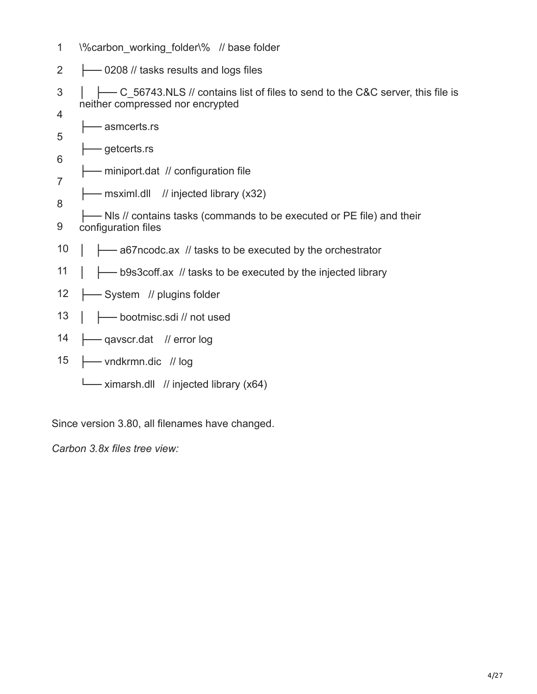- 1 \%carbon\_working\_folder\% // base folder
- 2 ├── 0208 // tasks results and logs files
- 3 4 │ ├── C\_56743.NLS // contains list of files to send to the C&C server, this file is neither compressed nor encrypted
- 5 ├── asmcerts.rs ├── getcerts.rs
- 6
- 7 - miniport.dat // configuration file
- 8 ├── msximl.dll // injected library (x32)
- 9 - Nls // contains tasks (commands to be executed or PE file) and their configuration files
- 10 ├── a67ncodc.ax // tasks to be executed by the orchestrator
- 11 │ ├── b9s3coff.ax // tasks to be executed by the injected library
- 12 -System // plugins folder
- 13 │ ├── bootmisc.sdi // not used
- 14 ├── qavscr.dat // error log
- 15 ├── vndkrmn.dic // log
	- └── ximarsh.dll // injected library (x64)

Since version 3.80, all filenames have changed.

*Carbon 3.8x files tree view:*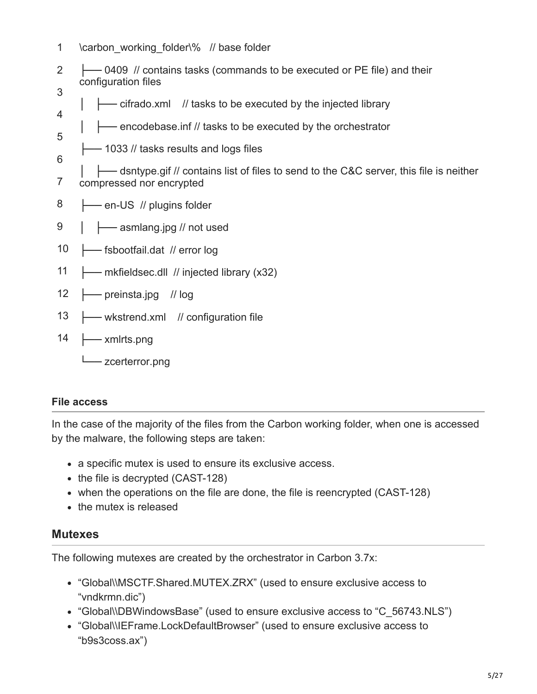- 1 \carbon\_working\_folder\% // base folder
- 2 3 ├── 0409 // contains tasks (commands to be executed or PE file) and their configuration files
- 4 ├── cifrado.xml // tasks to be executed by the injected library
- 5 - encodebase.inf // tasks to be executed by the orchestrator
- 6 ├── 1033 // tasks results and logs files
- 7 │ ├── dsntype.gif // contains list of files to send to the C&C server, this file is neither compressed nor encrypted
- 8 ├── en-US // plugins folder
- 9 ← asmlang.jpg // not used
- 10 ├── fsbootfail.dat // error log
- 11 ├── mkfieldsec.dll // injected library (x32)
- 12 ├── preinsta.jpg // log
- 13 — wkstrend.xml // configuration file
- 14 ├── xmlrts.png
	- zcerterror.png

#### **File access**

In the case of the majority of the files from the Carbon working folder, when one is accessed by the malware, the following steps are taken:

- a specific mutex is used to ensure its exclusive access.
- $\bullet$  the file is decrypted (CAST-128)
- when the operations on the file are done, the file is reencrypted (CAST-128)
- the mutex is released

### **Mutexes**

The following mutexes are created by the orchestrator in Carbon 3.7x:

- "Global\\MSCTF.Shared.MUTEX.ZRX" (used to ensure exclusive access to "vndkrmn.dic")
- "Global\\DBWindowsBase" (used to ensure exclusive access to "C\_56743.NLS")
- "Global\\IEFrame.LockDefaultBrowser" (used to ensure exclusive access to "b9s3coss.ax")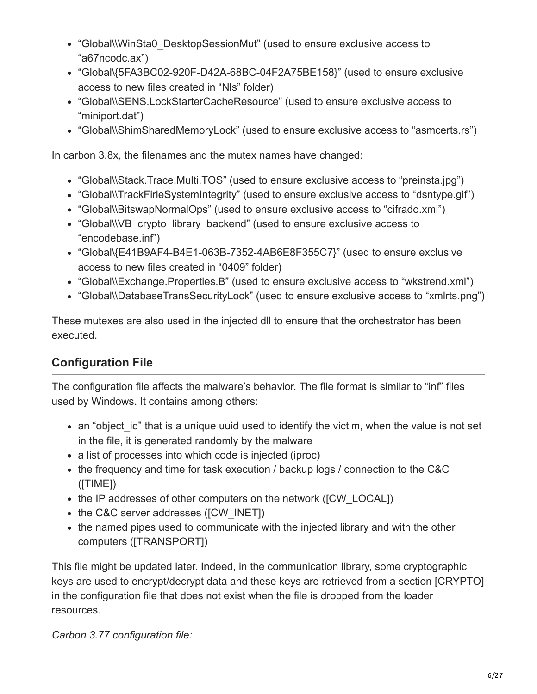- "Global\\WinSta0\_DesktopSessionMut" (used to ensure exclusive access to "a67ncodc.ax")
- "Global\{5FA3BC02-920F-D42A-68BC-04F2A75BE158}" (used to ensure exclusive access to new files created in "Nls" folder)
- "Global\\SENS.LockStarterCacheResource" (used to ensure exclusive access to "miniport.dat")
- "Global\\ShimSharedMemoryLock" (used to ensure exclusive access to "asmcerts.rs")

In carbon 3.8x, the filenames and the mutex names have changed:

- "Global\\Stack.Trace.Multi.TOS" (used to ensure exclusive access to "preinsta.jpg")
- "Global\\TrackFirleSystemIntegrity" (used to ensure exclusive access to "dsntype.gif")
- "Global\\BitswapNormalOps" (used to ensure exclusive access to "cifrado.xml")
- "Global\\VB\_crypto\_library\_backend" (used to ensure exclusive access to "encodebase.inf")
- "Global\{E41B9AF4-B4E1-063B-7352-4AB6E8F355C7}" (used to ensure exclusive access to new files created in "0409" folder)
- "Global\\Exchange.Properties.B" (used to ensure exclusive access to "wkstrend.xml")
- "Global\\DatabaseTransSecurityLock" (used to ensure exclusive access to "xmlrts.png")

These mutexes are also used in the injected dll to ensure that the orchestrator has been executed.

### **Configuration File**

The configuration file affects the malware's behavior. The file format is similar to "inf" files used by Windows. It contains among others:

- an "object id" that is a unique uuid used to identify the victim, when the value is not set in the file, it is generated randomly by the malware
- a list of processes into which code is injected (iproc)
- the frequency and time for task execution / backup logs / connection to the C&C ([TIME])
- the IP addresses of other computers on the network ([CW\_LOCAL])
- the C&C server addresses ([CW\_INET])
- the named pipes used to communicate with the injected library and with the other computers ([TRANSPORT])

This file might be updated later. Indeed, in the communication library, some cryptographic keys are used to encrypt/decrypt data and these keys are retrieved from a section [CRYPTO] in the configuration file that does not exist when the file is dropped from the loader resources.

*Carbon 3.77 configuration file:*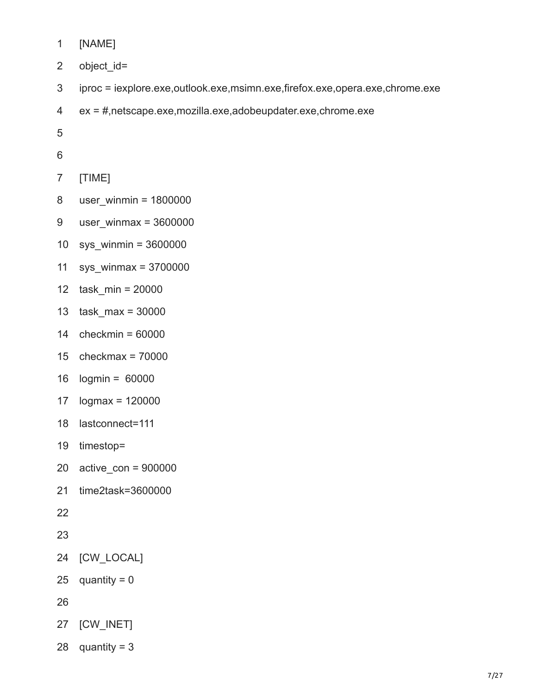- [NAME]
- object\_id=
- iproc = iexplore.exe,outlook.exe,msimn.exe,firefox.exe,opera.exe,chrome.exe
- ex = #,netscape.exe,mozilla.exe,adobeupdater.exe,chrome.exe
- 
- 
- [TIME]
- user\_winmin = 1800000
- user winmax =
- sys\_winmin = 3600000
- sys\_winmax = 3700000
- task\_min = 20000
- task  $max = 30000$
- checkmin = 60000
- checkmax = 70000
- logmin = 60000
- logmax = 120000
- lastconnect=111
- timestop=
- active  $con = 900000$
- time2task=3600000
- 
- 
- [CW\_LOCAL]
- quantity  $= 0$
- 
- [CW\_INET]
- quantity = 3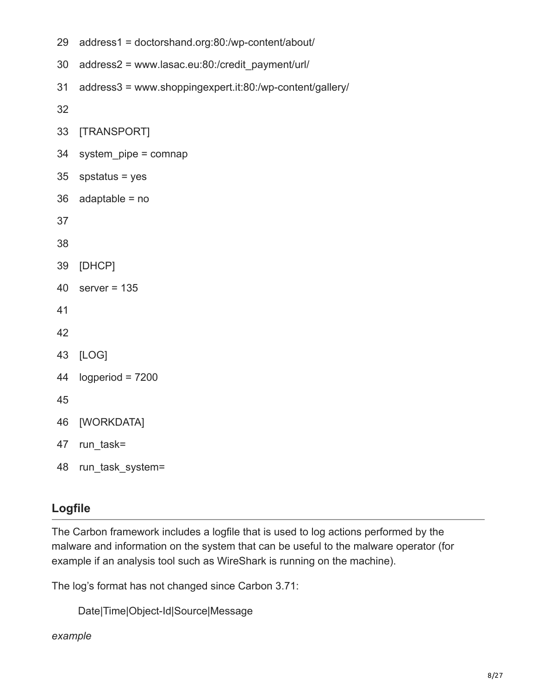- 29 address1 = doctorshand.org:80:/wp-content/about/
- 30 address2 = www.lasac.eu:80:/credit\_payment/url/
- 31 address3 = www.shoppingexpert.it:80:/wp-content/gallery/

32

- 33 [TRANSPORT]
- 34 system\_pipe = comnap
- 35 spstatus = yes
- 36 adaptable = no

37

38

- 39 [DHCP]
- 40 server  $= 135$

41

- 42
- 43 [LOG]
- 44 logperiod = 7200

45

- 46 [WORKDATA]
- 47 run\_task=
- 48 run\_task\_system=

### **Logfile**

The Carbon framework includes a logfile that is used to log actions performed by the malware and information on the system that can be useful to the malware operator (for example if an analysis tool such as WireShark is running on the machine).

The log's format has not changed since Carbon 3.71:

```
Date|Time|Object-Id|Source|Message
```
*example*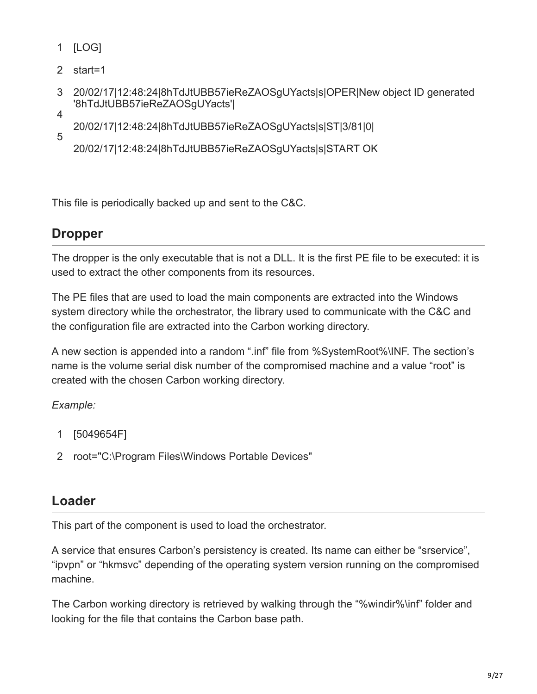- 1 [LOG]
- 2 start=1
- 3 4 20/02/17|12:48:24|8hTdJtUBB57ieReZAOSgUYacts|s|OPER|New object ID generated '8hTdJtUBB57ieReZAOSgUYacts'|
- 5 20/02/17|12:48:24|8hTdJtUBB57ieReZAOSgUYacts|s|ST|3/81|0|

20/02/17|12:48:24|8hTdJtUBB57ieReZAOSgUYacts|s|START OK

This file is periodically backed up and sent to the C&C.

### **Dropper**

The dropper is the only executable that is not a DLL. It is the first PE file to be executed: it is used to extract the other components from its resources.

The PE files that are used to load the main components are extracted into the Windows system directory while the orchestrator, the library used to communicate with the C&C and the configuration file are extracted into the Carbon working directory.

A new section is appended into a random ".inf" file from %SystemRoot%\INF. The section's name is the volume serial disk number of the compromised machine and a value "root" is created with the chosen Carbon working directory.

*Example:*

- 1 [5049654F]
- 2 root="C:\Program Files\Windows Portable Devices"

### **Loader**

This part of the component is used to load the orchestrator.

A service that ensures Carbon's persistency is created. Its name can either be "srservice", "ipvpn" or "hkmsvc" depending of the operating system version running on the compromised machine.

The Carbon working directory is retrieved by walking through the "%windir%\inf" folder and looking for the file that contains the Carbon base path.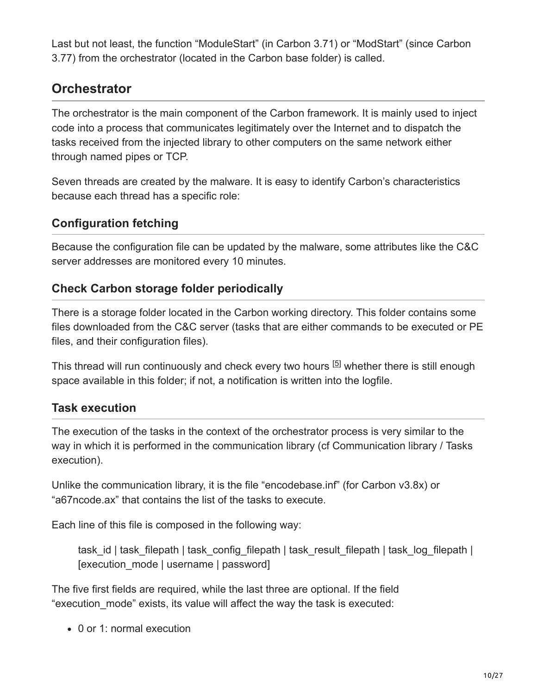Last but not least, the function "ModuleStart" (in Carbon 3.71) or "ModStart" (since Carbon 3.77) from the orchestrator (located in the Carbon base folder) is called.

### **Orchestrator**

The orchestrator is the main component of the Carbon framework. It is mainly used to inject code into a process that communicates legitimately over the Internet and to dispatch the tasks received from the injected library to other computers on the same network either through named pipes or TCP.

Seven threads are created by the malware. It is easy to identify Carbon's characteristics because each thread has a specific role:

### **Configuration fetching**

Because the configuration file can be updated by the malware, some attributes like the C&C server addresses are monitored every 10 minutes.

### **Check Carbon storage folder periodically**

There is a storage folder located in the Carbon working directory. This folder contains some files downloaded from the C&C server (tasks that are either commands to be executed or PE files, and their configuration files).

This thread will run continuously and check every two hours  $[5]$  whether there is still enough space available in this folder; if not, a notification is written into the logfile.

### **Task execution**

The execution of the tasks in the context of the orchestrator process is very similar to the way in which it is performed in the communication library (cf Communication library / Tasks execution).

Unlike the communication library, it is the file "encodebase.inf" (for Carbon v3.8x) or "a67ncode.ax" that contains the list of the tasks to execute.

Each line of this file is composed in the following way:

task id | task\_filepath | task\_config\_filepath | task\_result\_filepath | task\_log\_filepath | [execution\_mode | username | password]

The five first fields are required, while the last three are optional. If the field "execution\_mode" exists, its value will affect the way the task is executed:

0 or 1: normal execution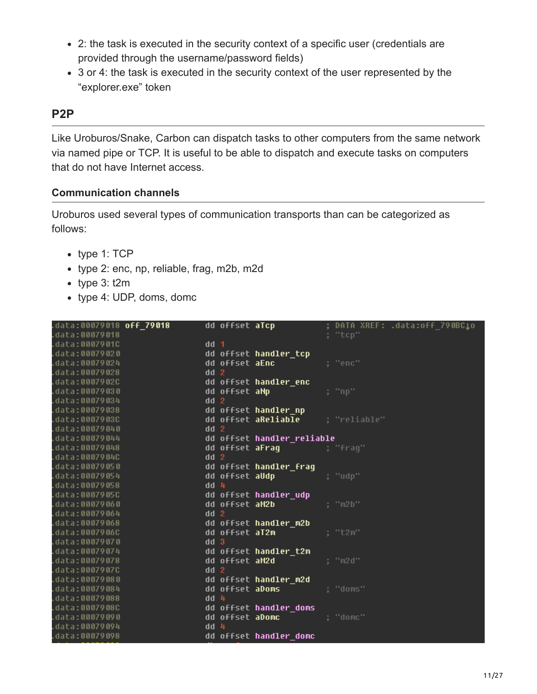- 2: the task is executed in the security context of a specific user (credentials are provided through the username/password fields)
- 3 or 4: the task is executed in the security context of the user represented by the "explorer.exe" token

### **P2P**

Like Uroburos/Snake, Carbon can dispatch tasks to other computers from the same network via named pipe or TCP. It is useful to be able to dispatch and execute tasks on computers that do not have Internet access.

#### **Communication channels**

Uroburos used several types of communication transports than can be categorized as follows:

- type 1: TCP
- type 2: enc, np, reliable, frag, m2b, m2d
- $\bullet$  type 3: t2m
- type 4: UDP, doms, domc

| data:00079018 <b>off_79018</b> . | dd offset aTcp                                                                                                       | ; DATA XREF: .data:off 790BC <b>l</b> o |
|----------------------------------|----------------------------------------------------------------------------------------------------------------------|-----------------------------------------|
| data:00079018.                   |                                                                                                                      | ; "tcp"                                 |
| .data:0007901C                   | dd 1                                                                                                                 |                                         |
| .data:00079020                   | dd offset handler_tcp                                                                                                |                                         |
| .data:00079024                   | dd offset aEnc                                                                                                       | : "enc"                                 |
| data:00079028.                   | dd <sub>2</sub>                                                                                                      |                                         |
| data:0007902C                    | dd offset handler_enc                                                                                                |                                         |
| data:00079030.                   | dd offset aNp                                                                                                        | ; "np"                                  |
| .data:00079034                   | dd <sub>2</sub>                                                                                                      |                                         |
| .data:00079038                   | dd offset handler np                                                                                                 |                                         |
| .data:0007903C                   | dd offset aReliable ; "reliable"                                                                                     |                                         |
| .data:00079040                   | dd <sub>2</sub>                                                                                                      |                                         |
| data:00079044                    | dd offset handler_reliable                                                                                           |                                         |
| data:00079048.                   | dd offset aFraq             ; "fraq"                                                                                 |                                         |
| .data:0007904C                   | dd <sub>2</sub>                                                                                                      |                                         |
| .data:00079050                   | dd offset handler frag                                                                                               |                                         |
| .data:00079054                   | dd offset aUdp                                                                                                       | : "udp"                                 |
| data:00079058.                   | dd 4                                                                                                                 |                                         |
| .data:0007905C                   | dd offset handler_udp                                                                                                |                                         |
| .data:00079060                   | dd offset aM2b                                                                                                       | : "m2b"                                 |
| .data:00079064                   | dd <sub>2</sub>                                                                                                      |                                         |
| .data:00079068                   | dd offset handler m2b                                                                                                |                                         |
| .data:0007906C                   | dd offset aT2m                                                                                                       | : "t2m"                                 |
| data:00079070.                   | dd <sub>3</sub>                                                                                                      |                                         |
| data:00079074.                   | dd offset handler t2m                                                                                                |                                         |
| data:00079078.                   | dd offset aM2d                                                                                                       | : "m2d"                                 |
| .data:0007907C                   | dd <sub>2</sub>                                                                                                      |                                         |
| .data:00079080                   | dd offset handler m2d                                                                                                |                                         |
| data:00079084.                   | dd offset <b>aDoms</b> and the state of the state of the state of the state of the state of the state of the state o | : "doms"                                |
| data:00079088.                   | dd 4                                                                                                                 |                                         |
| .data:0007908C                   | dd offset handler doms                                                                                               |                                         |
| .data:00079090                   | dd offset <b>aDomc</b> and <b>a complete</b> and <b>a</b>                                                            | ; "domc"                                |
| .data:00079094                   | dd 4                                                                                                                 |                                         |
| .data:00079098                   | dd offset handler domc                                                                                               |                                         |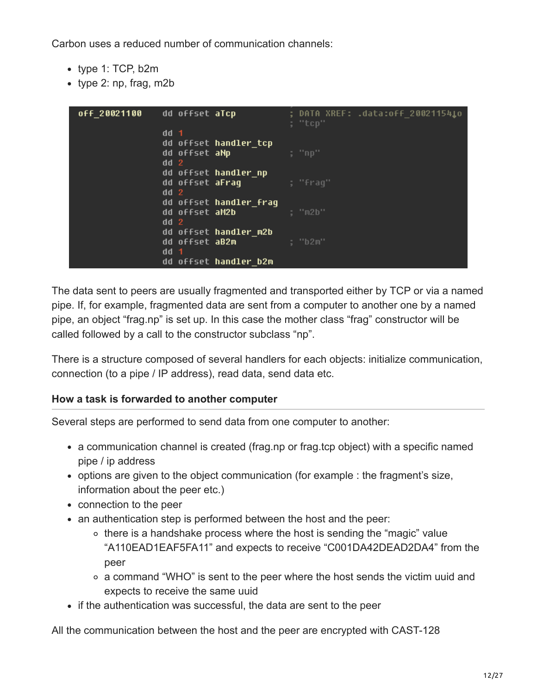Carbon uses a reduced number of communication channels:

- type 1: TCP, b2m
- type 2: np, frag, m2b

| off_20021100 | dd offset aTcp         | ; DATA XREF: .data:off_20021154 <b>j</b> o<br>; "tcp" |
|--------------|------------------------|-------------------------------------------------------|
|              | $dd$ 1                 |                                                       |
|              | dd offset handler_tcp  |                                                       |
|              | dd offset aNp          | ; "np"                                                |
|              | dd <sub>2</sub>        |                                                       |
|              | dd offset handler np   |                                                       |
|              | dd offset <b>aFraq</b> | : "fraq"                                              |
|              | dd <sub>2</sub>        |                                                       |
|              | dd offset handler fraq |                                                       |
|              | dd offset aM2b         | : "m2b"                                               |
|              | dd <sub>2</sub>        |                                                       |
|              | dd offset handler m2b  |                                                       |
|              | dd offset aB2m         | : "b2m"                                               |
|              | dd<br>-1               |                                                       |
|              | dd offset handler b2m  |                                                       |

The data sent to peers are usually fragmented and transported either by TCP or via a named pipe. If, for example, fragmented data are sent from a computer to another one by a named pipe, an object "frag.np" is set up. In this case the mother class "frag" constructor will be called followed by a call to the constructor subclass "np".

There is a structure composed of several handlers for each objects: initialize communication, connection (to a pipe / IP address), read data, send data etc.

#### **How a task is forwarded to another computer**

Several steps are performed to send data from one computer to another:

- a communication channel is created (frag.np or frag.tcp object) with a specific named pipe / ip address
- options are given to the object communication (for example : the fragment's size, information about the peer etc.)
- connection to the peer
- an authentication step is performed between the host and the peer:
	- $\circ$  there is a handshake process where the host is sending the "magic" value "A110EAD1EAF5FA11" and expects to receive "C001DA42DEAD2DA4" from the peer
	- a command "WHO" is sent to the peer where the host sends the victim uuid and expects to receive the same uuid
- if the authentication was successful, the data are sent to the peer

All the communication between the host and the peer are encrypted with CAST-128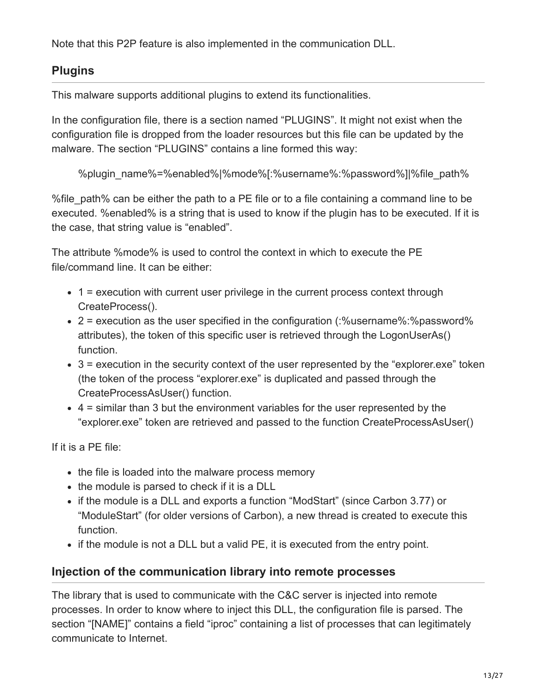Note that this P2P feature is also implemented in the communication DLL.

### **Plugins**

This malware supports additional plugins to extend its functionalities.

In the configuration file, there is a section named "PLUGINS". It might not exist when the configuration file is dropped from the loader resources but this file can be updated by the malware. The section "PLUGINS" contains a line formed this way:

```
%plugin_name%=%enabled%|%mode%[:%username%:%password%]|%file_path%
```
% file path% can be either the path to a PE file or to a file containing a command line to be executed. %enabled% is a string that is used to know if the plugin has to be executed. If it is the case, that string value is "enabled".

The attribute %mode% is used to control the context in which to execute the PE file/command line. It can be either:

- 1 = execution with current user privilege in the current process context through CreateProcess().
- 2 = execution as the user specified in the configuration (:%username%:%password% attributes), the token of this specific user is retrieved through the LogonUserAs() function.
- $\bullet$  3 = execution in the security context of the user represented by the "explorer.exe" token (the token of the process "explorer.exe" is duplicated and passed through the CreateProcessAsUser() function.
- 4 = similar than 3 but the environment variables for the user represented by the "explorer.exe" token are retrieved and passed to the function CreateProcessAsUser()

If it is a PE file:

- the file is loaded into the malware process memory
- the module is parsed to check if it is a DLL
- if the module is a DLL and exports a function "ModStart" (since Carbon 3.77) or "ModuleStart" (for older versions of Carbon), a new thread is created to execute this function.
- if the module is not a DLL but a valid PE, it is executed from the entry point.

### **Injection of the communication library into remote processes**

The library that is used to communicate with the C&C server is injected into remote processes. In order to know where to inject this DLL, the configuration file is parsed. The section "[NAME]" contains a field "iproc" containing a list of processes that can legitimately communicate to Internet.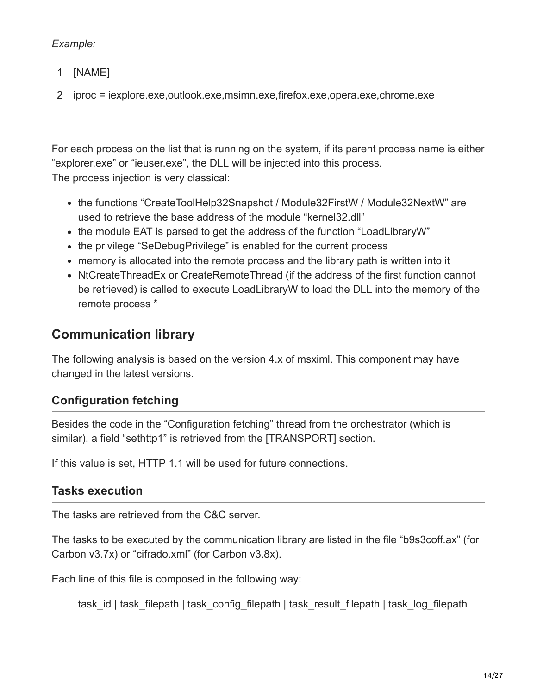### *Example:*

- 1 [NAME]
- 2 iproc = iexplore.exe,outlook.exe,msimn.exe,firefox.exe,opera.exe,chrome.exe

For each process on the list that is running on the system, if its parent process name is either "explorer.exe" or "ieuser.exe", the DLL will be injected into this process. The process injection is very classical:

- the functions "CreateToolHelp32Snapshot / Module32FirstW / Module32NextW" are used to retrieve the base address of the module "kernel32.dll"
- the module EAT is parsed to get the address of the function "LoadLibraryW"
- the privilege "SeDebugPrivilege" is enabled for the current process
- memory is allocated into the remote process and the library path is written into it
- NtCreateThreadEx or CreateRemoteThread (if the address of the first function cannot be retrieved) is called to execute LoadLibraryW to load the DLL into the memory of the remote process \*

### **Communication library**

The following analysis is based on the version 4.x of msximl. This component may have changed in the latest versions.

### **Configuration fetching**

Besides the code in the "Configuration fetching" thread from the orchestrator (which is similar), a field "sethttp1" is retrieved from the [TRANSPORT] section.

If this value is set, HTTP 1.1 will be used for future connections.

### **Tasks execution**

The tasks are retrieved from the C&C server.

The tasks to be executed by the communication library are listed in the file "b9s3coff.ax" (for Carbon v3.7x) or "cifrado.xml" (for Carbon v3.8x).

Each line of this file is composed in the following way:

task id | task\_filepath | task\_config\_filepath | task\_result\_filepath | task\_log\_filepath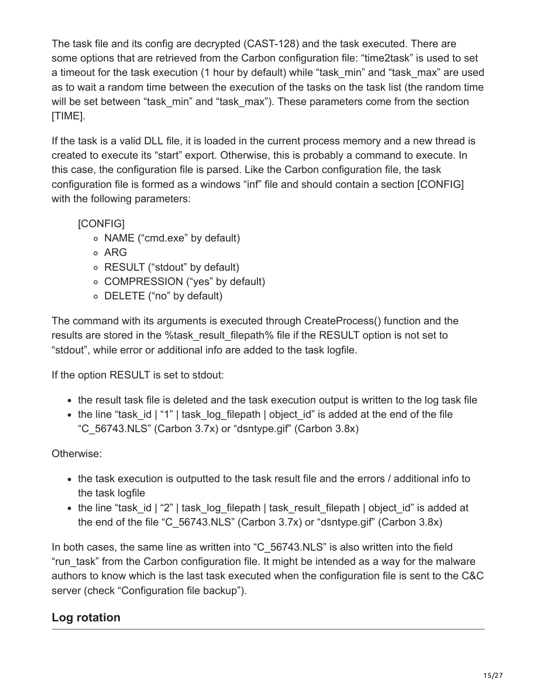The task file and its config are decrypted (CAST-128) and the task executed. There are some options that are retrieved from the Carbon configuration file: "time2task" is used to set a timeout for the task execution (1 hour by default) while "task min" and "task max" are used as to wait a random time between the execution of the tasks on the task list (the random time will be set between "task min" and "task max"). These parameters come from the section [TIME].

If the task is a valid DLL file, it is loaded in the current process memory and a new thread is created to execute its "start" export. Otherwise, this is probably a command to execute. In this case, the configuration file is parsed. Like the Carbon configuration file, the task configuration file is formed as a windows "inf" file and should contain a section [CONFIG] with the following parameters:

[CONFIG]

- o NAME ("cmd.exe" by default)
- o ARG
- RESULT ("stdout" by default)
- COMPRESSION ("yes" by default)
- DELETE ("no" by default)

The command with its arguments is executed through CreateProcess() function and the results are stored in the %task result filepath% file if the RESULT option is not set to "stdout", while error or additional info are added to the task logfile.

If the option RESULT is set to stdout:

- the result task file is deleted and the task execution output is written to the log task file
- the line "task id | "1" | task log filepath | object id" is added at the end of the file "C\_56743.NLS" (Carbon 3.7x) or "dsntype.gif" (Carbon 3.8x)

### Otherwise:

- the task execution is outputted to the task result file and the errors / additional info to the task logfile
- the line "task id | "2" | task log filepath | task result filepath | object id" is added at the end of the file "C\_56743.NLS" (Carbon 3.7x) or "dsntype.gif" (Carbon 3.8x)

In both cases, the same line as written into "C\_56743.NLS" is also written into the field "run task" from the Carbon configuration file. It might be intended as a way for the malware authors to know which is the last task executed when the configuration file is sent to the C&C server (check "Configuration file backup").

### **Log rotation**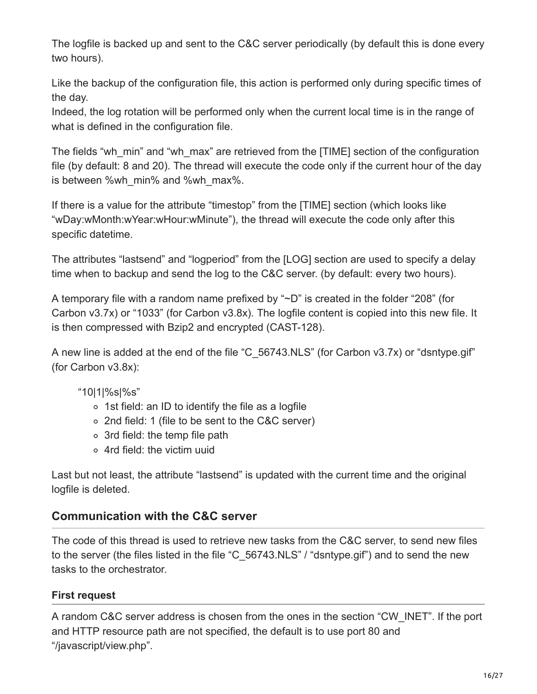The logfile is backed up and sent to the C&C server periodically (by default this is done every two hours).

Like the backup of the configuration file, this action is performed only during specific times of the day.

Indeed, the log rotation will be performed only when the current local time is in the range of what is defined in the configuration file.

The fields "wh\_min" and "wh\_max" are retrieved from the [TIME] section of the configuration file (by default: 8 and 20). The thread will execute the code only if the current hour of the day is between %wh\_min% and %wh\_max%.

If there is a value for the attribute "timestop" from the [TIME] section (which looks like "wDay:wMonth:wYear:wHour:wMinute"), the thread will execute the code only after this specific datetime.

The attributes "lastsend" and "logperiod" from the [LOG] section are used to specify a delay time when to backup and send the log to the C&C server. (by default: every two hours).

A temporary file with a random name prefixed by "~D" is created in the folder "208" (for Carbon v3.7x) or "1033" (for Carbon v3.8x). The logfile content is copied into this new file. It is then compressed with Bzip2 and encrypted (CAST-128).

A new line is added at the end of the file "C\_56743.NLS" (for Carbon v3.7x) or "dsntype.gif" (for Carbon v3.8x):

### "10|1|%s|%s"

- $\circ$  1st field: an ID to identify the file as a logfile
- 2nd field: 1 (file to be sent to the C&C server)
- 3rd field: the temp file path
- 4rd field: the victim uuid

Last but not least, the attribute "lastsend" is updated with the current time and the original logfile is deleted.

### **Communication with the C&C server**

The code of this thread is used to retrieve new tasks from the C&C server, to send new files to the server (the files listed in the file "C\_56743.NLS" / "dsntype.gif") and to send the new tasks to the orchestrator.

### **First request**

A random C&C server address is chosen from the ones in the section "CW\_INET". If the port and HTTP resource path are not specified, the default is to use port 80 and "/javascript/view.php".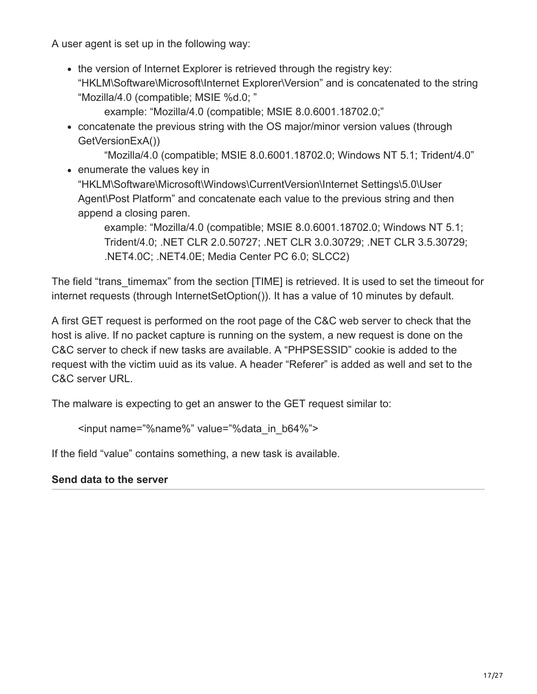A user agent is set up in the following way:

• the version of Internet Explorer is retrieved through the registry key: "HKLM\Software\Microsoft\Internet Explorer\Version" and is concatenated to the string "Mozilla/4.0 (compatible; MSIE %d.0; "

example: "Mozilla/4.0 (compatible; MSIE 8.0.6001.18702.0;"

concatenate the previous string with the OS major/minor version values (through GetVersionExA())

"Mozilla/4.0 (compatible; MSIE 8.0.6001.18702.0; Windows NT 5.1; Trident/4.0" • enumerate the values key in "HKLM\Software\Microsoft\Windows\CurrentVersion\Internet Settings\5.0\User

Agent\Post Platform" and concatenate each value to the previous string and then append a closing paren.

example: "Mozilla/4.0 (compatible; MSIE 8.0.6001.18702.0; Windows NT 5.1; Trident/4.0; .NET CLR 2.0.50727; .NET CLR 3.0.30729; .NET CLR 3.5.30729; .NET4.0C; .NET4.0E; Media Center PC 6.0; SLCC2)

The field "trans timemax" from the section [TIME] is retrieved. It is used to set the timeout for internet requests (through InternetSetOption()). It has a value of 10 minutes by default.

A first GET request is performed on the root page of the C&C web server to check that the host is alive. If no packet capture is running on the system, a new request is done on the C&C server to check if new tasks are available. A "PHPSESSID" cookie is added to the request with the victim uuid as its value. A header "Referer" is added as well and set to the C&C server URL.

The malware is expecting to get an answer to the GET request similar to:

```
<input name="%name%" value="%data_in_b64%">
```
If the field "value" contains something, a new task is available.

### **Send data to the server**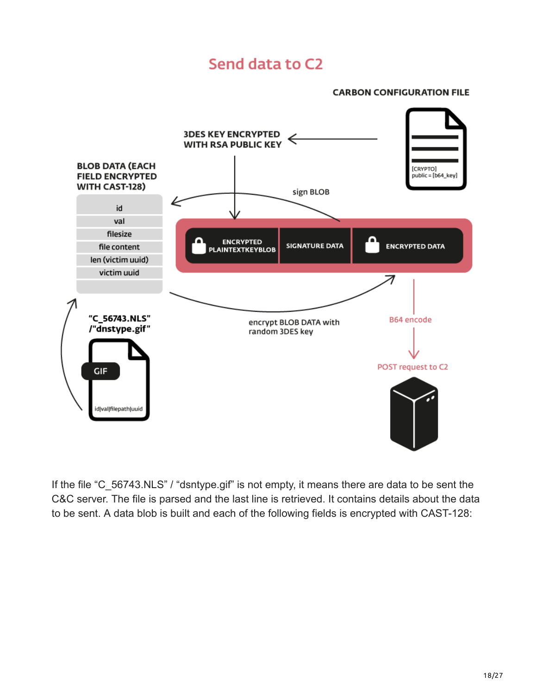# Send data to C2

#### **CARBON CONFIGURATION FILE**



If the file "C\_56743.NLS" / "dsntype.gif" is not empty, it means there are data to be sent the C&C server. The file is parsed and the last line is retrieved. It contains details about the data to be sent. A data blob is built and each of the following fields is encrypted with CAST-128: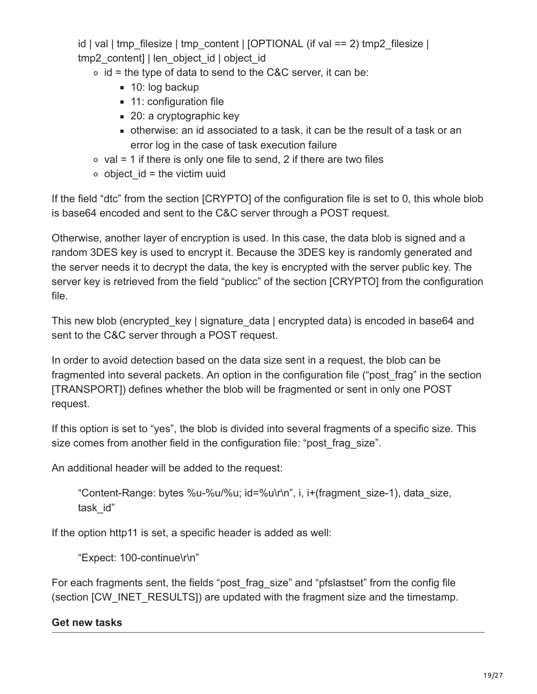id | val | tmp\_filesize | tmp\_content |  $[OPTIONAL$  (if val == 2) tmp2\_filesize | tmp2\_content] | len\_object\_id | object\_id

 $\circ$  id = the type of data to send to the C&C server, it can be:

- $\blacksquare$  10: log backup
- **11: configuration file**
- 20: a cryptographic key
- otherwise: an id associated to a task, it can be the result of a task or an error log in the case of task execution failure
- $\circ$  val = 1 if there is only one file to send, 2 if there are two files
- $\circ$  object id = the victim uuid

If the field "dtc" from the section [CRYPTO] of the configuration file is set to 0, this whole blob is base64 encoded and sent to the C&C server through a POST request.

Otherwise, another layer of encryption is used. In this case, the data blob is signed and a random 3DES key is used to encrypt it. Because the 3DES key is randomly generated and the server needs it to decrypt the data, the key is encrypted with the server public key. The server key is retrieved from the field "publicc" of the section [CRYPTO] from the configuration file.

This new blob (encrypted key | signature data | encrypted data) is encoded in base64 and sent to the C&C server through a POST request.

In order to avoid detection based on the data size sent in a request, the blob can be fragmented into several packets. An option in the configuration file ("post\_frag" in the section [TRANSPORT]) defines whether the blob will be fragmented or sent in only one POST request.

If this option is set to "yes", the blob is divided into several fragments of a specific size. This size comes from another field in the configuration file: "post frag\_size".

An additional header will be added to the request:

"Content-Range: bytes %u-%u/%u; id=%u\r\n", i, i+(fragment\_size-1), data\_size, task\_id"

If the option http11 is set, a specific header is added as well:

"Expect: 100-continue\r\n"

For each fragments sent, the fields "post frag size" and "pfslastset" from the config file (section [CW\_INET\_RESULTS]) are updated with the fragment size and the timestamp.

### **Get new tasks**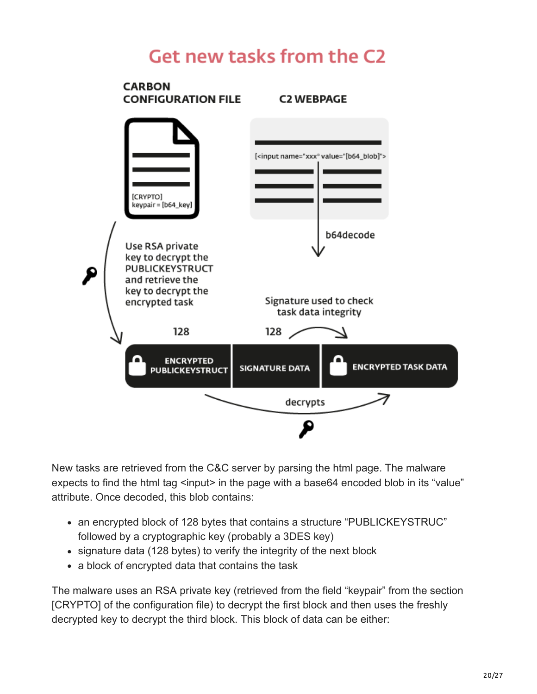# Get new tasks from the C2



New tasks are retrieved from the C&C server by parsing the html page. The malware expects to find the html tag <input> in the page with a base64 encoded blob in its "value" attribute. Once decoded, this blob contains:

- an encrypted block of 128 bytes that contains a structure "PUBLICKEYSTRUC" followed by a cryptographic key (probably a 3DES key)
- signature data (128 bytes) to verify the integrity of the next block
- a block of encrypted data that contains the task

The malware uses an RSA private key (retrieved from the field "keypair" from the section [CRYPTO] of the configuration file) to decrypt the first block and then uses the freshly decrypted key to decrypt the third block. This block of data can be either: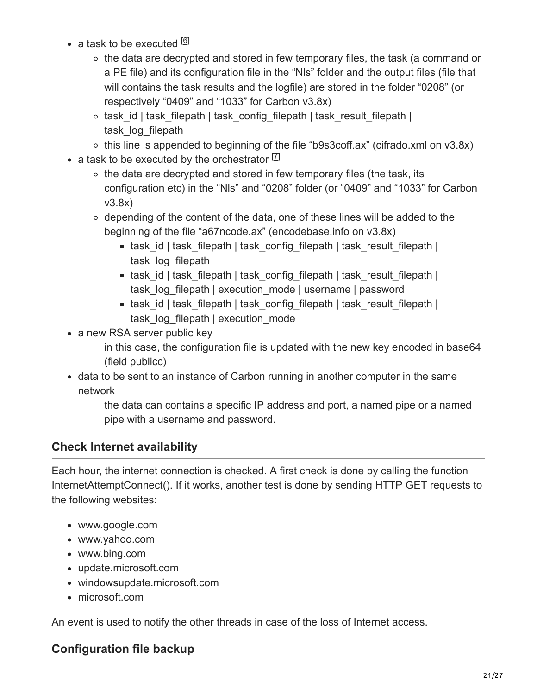- a task to be executed <sup>[6]</sup>
	- the data are decrypted and stored in few temporary files, the task (a command or a PE file) and its configuration file in the "Nls" folder and the output files (file that will contains the task results and the logfile) are stored in the folder "0208" (or respectively "0409" and "1033" for Carbon v3.8x)
	- $\circ$  task id | task filepath | task config filepath | task result filepath | task log filepath
	- this line is appended to beginning of the file "b9s3coff.ax" (cifrado.xml on v3.8x)
- a task to be executed by the orchestrator  $^{[Z]}$ 
	- $\circ$  the data are decrypted and stored in few temporary files (the task, its configuration etc) in the "Nls" and "0208" folder (or "0409" and "1033" for Carbon v3.8x)
	- $\circ$  depending of the content of the data, one of these lines will be added to the beginning of the file "a67ncode.ax" (encodebase.info on v3.8x)
		- task id | task\_filepath | task\_config\_filepath | task\_result\_filepath | task log filepath
		- task id | task\_filepath | task\_config\_filepath | task\_result\_filepath | task\_log\_filepath | execution\_mode | username | password
		- task id | task\_filepath | task\_config\_filepath | task\_result\_filepath | task log filepath | execution mode
- a new RSA server public key
	- in this case, the configuration file is updated with the new key encoded in base64 (field publicc)
- data to be sent to an instance of Carbon running in another computer in the same network
	- the data can contains a specific IP address and port, a named pipe or a named pipe with a username and password.

### **Check Internet availability**

Each hour, the internet connection is checked. A first check is done by calling the function InternetAttemptConnect(). If it works, another test is done by sending HTTP GET requests to the following websites:

- www.google.com
- www.yahoo.com
- www.bing.com
- update.microsoft.com
- windowsupdate.microsoft.com
- microsoft.com

An event is used to notify the other threads in case of the loss of Internet access.

### **Configuration file backup**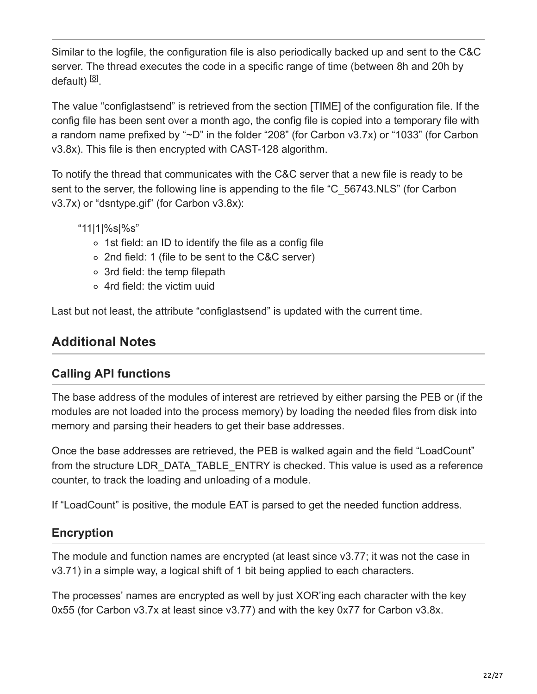Similar to the logfile, the configuration file is also periodically backed up and sent to the C&C server. The thread executes the code in a specific range of time (between 8h and 20h by default) <sup>[8]</sup>.

The value "configlastsend" is retrieved from the section [TIME] of the configuration file. If the config file has been sent over a month ago, the config file is copied into a temporary file with a random name prefixed by "~D" in the folder "208" (for Carbon v3.7x) or "1033" (for Carbon v3.8x). This file is then encrypted with CAST-128 algorithm.

To notify the thread that communicates with the C&C server that a new file is ready to be sent to the server, the following line is appending to the file "C\_56743.NLS" (for Carbon v3.7x) or "dsntype.gif" (for Carbon v3.8x):

"11|1|%s|%s"

- 1st field: an ID to identify the file as a config file
- 2nd field: 1 (file to be sent to the C&C server)
- 3rd field: the temp filepath
- 4rd field: the victim uuid

Last but not least, the attribute "configlastsend" is updated with the current time.

# **Additional Notes**

### **Calling API functions**

The base address of the modules of interest are retrieved by either parsing the PEB or (if the modules are not loaded into the process memory) by loading the needed files from disk into memory and parsing their headers to get their base addresses.

Once the base addresses are retrieved, the PEB is walked again and the field "LoadCount" from the structure LDR\_DATA\_TABLE\_ENTRY is checked. This value is used as a reference counter, to track the loading and unloading of a module.

If "LoadCount" is positive, the module EAT is parsed to get the needed function address.

### **Encryption**

The module and function names are encrypted (at least since v3.77; it was not the case in v3.71) in a simple way, a logical shift of 1 bit being applied to each characters.

The processes' names are encrypted as well by just XOR'ing each character with the key 0x55 (for Carbon v3.7x at least since v3.77) and with the key 0x77 for Carbon v3.8x.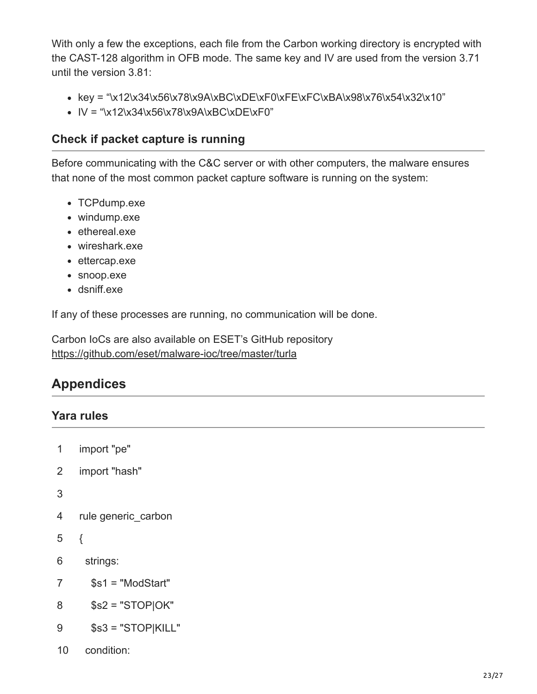With only a few the exceptions, each file from the Carbon working directory is encrypted with the CAST-128 algorithm in OFB mode. The same key and IV are used from the version 3.71 until the version 3.81:

- $key =$  "\x12\x34\x56\x78\x9A\xBC\xDE\xF0\xFE\xFC\xBA\x98\x76\x54\x32\x10"
- $IV = "x12x34x56x78x9AxBCxDExFO"$

### **Check if packet capture is running**

Before communicating with the C&C server or with other computers, the malware ensures that none of the most common packet capture software is running on the system:

- TCPdump.exe
- windump.exe
- ethereal.exe
- wireshark.exe
- ettercap.exe
- snoop.exe
- dsniff.exe

If any of these processes are running, no communication will be done.

Carbon IoCs are also available on ESET's GitHub repository <https://github.com/eset/malware-ioc/tree/master/turla>

# **Appendices**

### **Yara rules**

```
1
2
3
4
5
6
7
8
9
    import "pe"
    import "hash"
    rule generic_carbon
    {
      strings:
        $s1 = "ModStart"
       $s2 = "STOP]OK" $s3 = "STOP|KILL"
```
condition:

10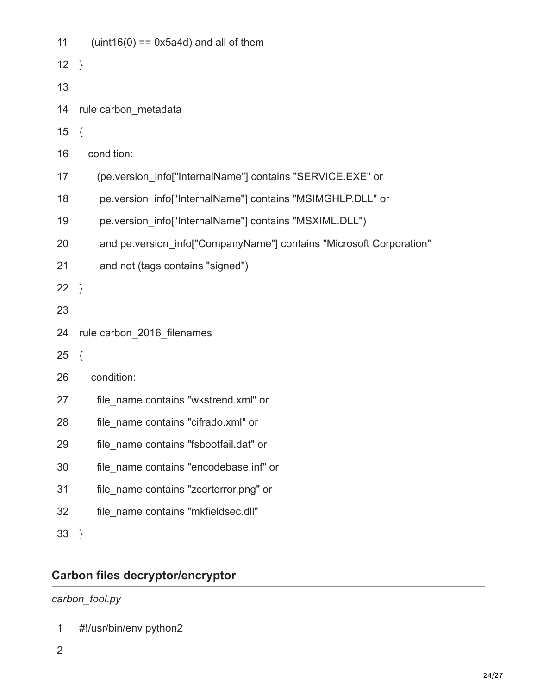| 11     | $uint16(0) == 0x5a4d)$ and all of them                              |
|--------|---------------------------------------------------------------------|
| 12     | $\}$                                                                |
| 13     |                                                                     |
| 14     | rule carbon_metadata                                                |
| 15     | $\{$                                                                |
| 16     | condition:                                                          |
| 17     | (pe.version info["InternalName"] contains "SERVICE.EXE" or          |
| 18     | pe.version info["InternalName"] contains "MSIMGHLP.DLL" or          |
| 19     | pe.version info["InternalName"] contains "MSXIML.DLL")              |
| 20     | and pe.version_info["CompanyName"] contains "Microsoft Corporation" |
| 21     | and not (tags contains "signed")                                    |
| $22$ } |                                                                     |
| 23     |                                                                     |
| 24     | rule carbon 2016 filenames                                          |
| 25     | $\{$                                                                |
| 26     | condition:                                                          |
| 27     | file name contains "wkstrend.xml" or                                |
| 28     | file name contains "cifrado.xml" or                                 |
| 29     | file name contains "fsbootfail.dat" or                              |
| 30     | file name contains "encodebase.inf" or                              |
| 31     | file name contains "zcerterror.png" or                              |
| 32     | file name contains "mkfieldsec.dll"                                 |
| 33     | $\}$                                                                |

# **Carbon files decryptor/encryptor**

### *carbon\_tool.py*

- 1 #!/usr/bin/env python2
- 2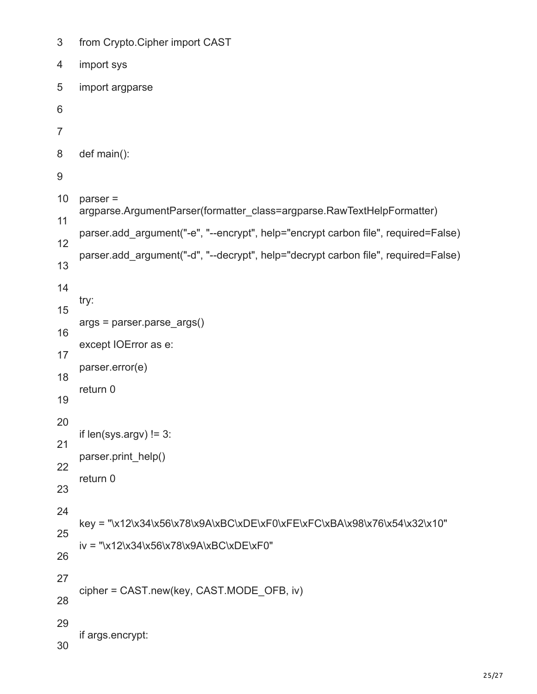```
3
4
5
6
7
8
9
10
11
12
13
14
15
16
17
18
19
20
21
22
23
24
25
26
27
28
29
30
    from Crypto.Cipher import CAST
    import sys
    import argparse
    def main():
    parser =
    argparse.ArgumentParser(formatter_class=argparse.RawTextHelpFormatter)
    parser.add_argument("-e", "--encrypt", help="encrypt carbon file", required=False)
    parser.add_argument("-d", "--decrypt", help="decrypt carbon file", required=False)
    try:
    args = parser.parse args()except IOError as e:
    parser.error(e)
    return 0
    if len(sys.argv)! = 3:
    parser.print_help()
    return 0
    key = "\x12\x34\x56\x78\x9A\xBC\xDE\xF0\xFE\xFC\xBA\x98\x76\x54\x32\x10"
    iv = "\x12\x34\x56\x78\x9A\xBC\xDE\xF0"
    cipher = CAST.new(key, CAST.MODE_OFB, iv)
    if args.encrypt:
```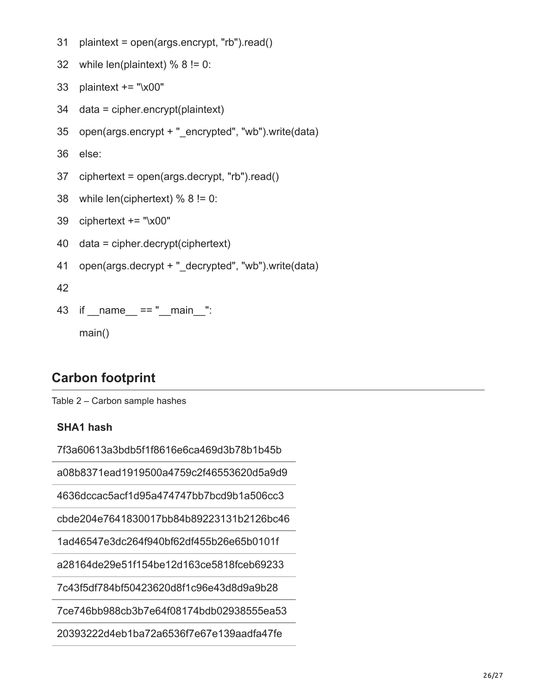```
31
    plaintext = open(args.encrypt, "rb").read()
```

```
32
while len(plaintext) % 8 != 0:
```

```
33
plaintext += "\x00"
```
- 34 data = cipher.encrypt(plaintext)
- 35 open(args.encrypt + "\_encrypted", "wb").write(data)
- 36 else:
- 37 ciphertext = open(args.decrypt, "rb").read()

```
38
while len(ciphertext) % 8 != 0:
```
- 39 ciphertext += "\x00"
- 40 data = cipher.decrypt(ciphertext)
- 41 open(args.decrypt + "\_decrypted", "wb").write(data)

42

43 if \_\_name\_\_ == "\_\_main\_\_": main()

# **Carbon footprint**

Table 2 – Carbon sample hashes

### **SHA1 hash**

7f3a60613a3bdb5f1f8616e6ca469d3b78b1b45b

a08b8371ead1919500a4759c2f46553620d5a9d9

4636dccac5acf1d95a474747bb7bcd9b1a506cc3

cbde204e7641830017bb84b89223131b2126bc46

1ad46547e3dc264f940bf62df455b26e65b0101f

a28164de29e51f154be12d163ce5818fceb69233

7c43f5df784bf50423620d8f1c96e43d8d9a9b28

7ce746bb988cb3b7e64f08174bdb02938555ea53

20393222d4eb1ba72a6536f7e67e139aadfa47fe